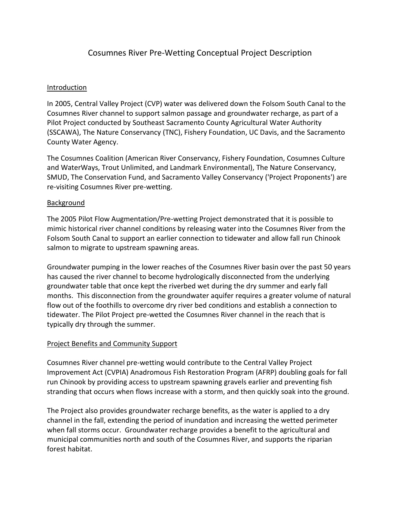# Cosumnes River Pre-Wetting Conceptual Project Description

### Introduction

In 2005, Central Valley Project (CVP) water was delivered down the Folsom South Canal to the Cosumnes River channel to support salmon passage and groundwater recharge, as part of a Pilot Project conducted by Southeast Sacramento County Agricultural Water Authority (SSCAWA), The Nature Conservancy (TNC), Fishery Foundation, UC Davis, and the Sacramento County Water Agency.

The Cosumnes Coalition (American River Conservancy, Fishery Foundation, Cosumnes Culture and WaterWays, Trout Unlimited, and Landmark Environmental), The Nature Conservancy, SMUD, The Conservation Fund, and Sacramento Valley Conservancy ('Project Proponents') are re-visiting Cosumnes River pre-wetting.

### Background

The 2005 Pilot Flow Augmentation/Pre-wetting Project demonstrated that it is possible to mimic historical river channel conditions by releasing water into the Cosumnes River from the Folsom South Canal to support an earlier connection to tidewater and allow fall run Chinook salmon to migrate to upstream spawning areas.

Groundwater pumping in the lower reaches of the Cosumnes River basin over the past 50 years has caused the river channel to become hydrologically disconnected from the underlying groundwater table that once kept the riverbed wet during the dry summer and early fall months. This disconnection from the groundwater aquifer requires a greater volume of natural flow out of the foothills to overcome dry river bed conditions and establish a connection to tidewater. The Pilot Project pre-wetted the Cosumnes River channel in the reach that is typically dry through the summer.

#### Project Benefits and Community Support

Cosumnes River channel pre-wetting would contribute to the Central Valley Project Improvement Act (CVPIA) Anadromous Fish Restoration Program (AFRP) doubling goals for fall run Chinook by providing access to upstream spawning gravels earlier and preventing fish stranding that occurs when flows increase with a storm, and then quickly soak into the ground.

The Project also provides groundwater recharge benefits, as the water is applied to a dry channel in the fall, extending the period of inundation and increasing the wetted perimeter when fall storms occur. Groundwater recharge provides a benefit to the agricultural and municipal communities north and south of the Cosumnes River, and supports the riparian forest habitat.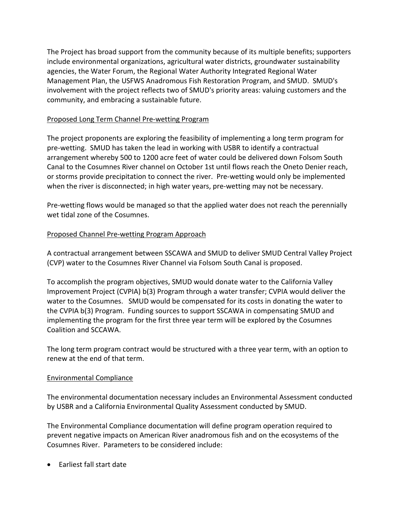The Project has broad support from the community because of its multiple benefits; supporters include environmental organizations, agricultural water districts, groundwater sustainability agencies, the Water Forum, the Regional Water Authority Integrated Regional Water Management Plan, the USFWS Anadromous Fish Restoration Program, and SMUD. SMUD's involvement with the project reflects two of SMUD's priority areas: valuing customers and the community, and embracing a sustainable future.

### Proposed Long Term Channel Pre-wetting Program

The project proponents are exploring the feasibility of implementing a long term program for pre-wetting. SMUD has taken the lead in working with USBR to identify a contractual arrangement whereby 500 to 1200 acre feet of water could be delivered down Folsom South Canal to the Cosumnes River channel on October 1st until flows reach the Oneto Denier reach, or storms provide precipitation to connect the river. Pre-wetting would only be implemented when the river is disconnected; in high water years, pre-wetting may not be necessary.

Pre-wetting flows would be managed so that the applied water does not reach the perennially wet tidal zone of the Cosumnes.

### Proposed Channel Pre-wetting Program Approach

A contractual arrangement between SSCAWA and SMUD to deliver SMUD Central Valley Project (CVP) water to the Cosumnes River Channel via Folsom South Canal is proposed.

To accomplish the program objectives, SMUD would donate water to the California Valley Improvement Project (CVPIA) b(3) Program through a water transfer; CVPIA would deliver the water to the Cosumnes. SMUD would be compensated for its costs in donating the water to the CVPIA b(3) Program. Funding sources to support SSCAWA in compensating SMUD and implementing the program for the first three year term will be explored by the Cosumnes Coalition and SCCAWA.

The long term program contract would be structured with a three year term, with an option to renew at the end of that term.

#### Environmental Compliance

The environmental documentation necessary includes an Environmental Assessment conducted by USBR and a California Environmental Quality Assessment conducted by SMUD.

The Environmental Compliance documentation will define program operation required to prevent negative impacts on American River anadromous fish and on the ecosystems of the Cosumnes River. Parameters to be considered include:

• Earliest fall start date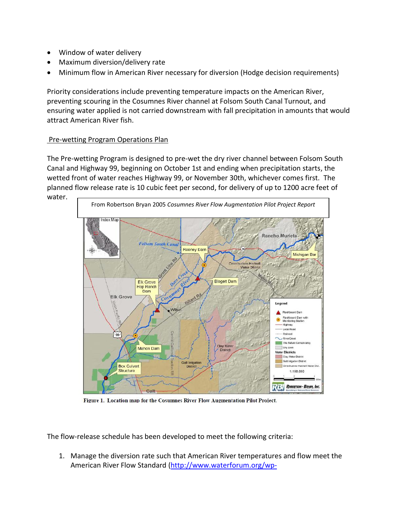- Window of water delivery
- Maximum diversion/delivery rate
- Minimum flow in American River necessary for diversion (Hodge decision requirements)

Priority considerations include preventing temperature impacts on the American River, preventing scouring in the Cosumnes River channel at Folsom South Canal Turnout, and ensuring water applied is not carried downstream with fall precipitation in amounts that would attract American River fish.

### **Pre-wetting Program Operations Plan**

The Pre-wetting Program is designed to pre-wet the dry river channel between Folsom South Canal and Highway 99, beginning on October 1st and ending when precipitation starts, the wetted front of water reaches Highway 99, or November 30th, whichever comes first. The planned flow release rate is 10 cubic feet per second, for delivery of up to 1200 acre feet of water.



Figure 1. Location map for the Cosumnes River Flow Augmentation Pilot Project.

The flow-release schedule has been developed to meet the following criteria:

1. Manage the diversion rate such that American River temperatures and flow meet the American River Flow Standard [\(http://www.waterforum.org/wp-](http://www.waterforum.org/wp-content/uploads/2017/04/WF-Modified-FMS-10_8_final_Single.pdf)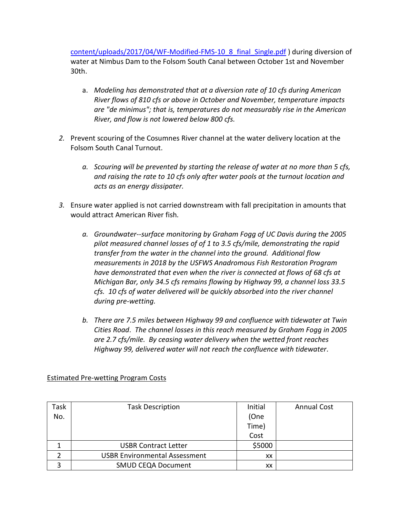[content/uploads/2017/04/WF-Modified-FMS-10\\_8\\_final\\_Single.pdf](http://www.waterforum.org/wp-content/uploads/2017/04/WF-Modified-FMS-10_8_final_Single.pdf) ) during diversion of water at Nimbus Dam to the Folsom South Canal between October 1st and November 30th.

- a. *Modeling has demonstrated that at a diversion rate of 10 cfs during American River flows of 810 cfs or above in October and November, temperature impacts are "de minimus"; that is, temperatures do not measurably rise in the American River, and flow is not lowered below 800 cfs.*
- *2.* Prevent scouring of the Cosumnes River channel at the water delivery location at the Folsom South Canal Turnout.
	- *a. Scouring will be prevented by starting the release of water at no more than 5 cfs, and raising the rate to 10 cfs only after water pools at the turnout location and acts as an energy dissipater.*
- *3.* Ensure water applied is not carried downstream with fall precipitation in amounts that would attract American River fish*.* 
	- *a. Groundwater*--*surface monitoring by Graham Fogg of UC Davis during the 2005 pilot measured channel losses of of 1 to 3.5 cfs/mile, demonstrating the rapid transfer from the water in the channel into the ground. Additional flow measurements in 2018 by the USFWS Anadromous Fish Restoration Program have demonstrated that even when the river is connected at flows of 68 cfs at Michigan Bar, only 34.5 cfs remains flowing by Highway 99, a channel loss 33.5 cfs. 10 cfs of water delivered will be quickly absorbed into the river channel during pre-wetting.*
	- *b. There are 7.5 miles between Highway 99 and confluence with tidewater at Twin Cities Road*. *The channel losses in this reach measured by Graham Fogg in 2005 are 2.7 cfs/mile. By ceasing water delivery when the wetted front reaches Highway 99, delivered water will not reach the confluence with tidewater*.

| Task | <b>Task Description</b>              | Initial | <b>Annual Cost</b> |
|------|--------------------------------------|---------|--------------------|
| No.  |                                      | (One    |                    |
|      |                                      | Time)   |                    |
|      |                                      | Cost    |                    |
|      | <b>USBR Contract Letter</b>          | \$5000  |                    |
|      | <b>USBR Environmental Assessment</b> | XX      |                    |
| っ    | <b>SMUD CEQA Document</b>            | XХ      |                    |

#### Estimated Pre-wetting Program Costs